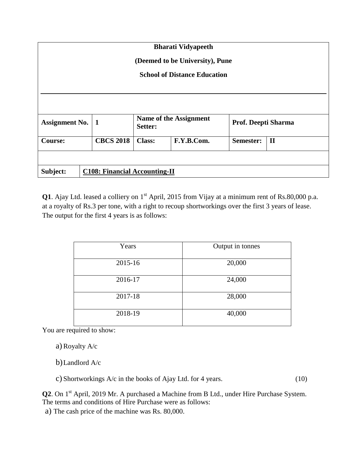| <b>Bharati Vidyapeeth</b><br>(Deemed to be University), Pune<br><b>School of Distance Education</b> |  |                                      |                                   |            |                     |              |  |  |  |
|-----------------------------------------------------------------------------------------------------|--|--------------------------------------|-----------------------------------|------------|---------------------|--------------|--|--|--|
|                                                                                                     |  |                                      |                                   |            |                     |              |  |  |  |
| <b>Assignment No.</b>                                                                               |  | $\vert$ 1                            | Name of the Assignment<br>Setter: |            | Prof. Deepti Sharma |              |  |  |  |
| <b>Course:</b>                                                                                      |  | <b>CBCS 2018</b>                     | <b>Class:</b>                     | F.Y.B.Com. | Semester:           | $\mathbf{I}$ |  |  |  |
|                                                                                                     |  |                                      |                                   |            |                     |              |  |  |  |
| Subject:                                                                                            |  | <b>C108: Financial Accounting-II</b> |                                   |            |                     |              |  |  |  |

**Q1**. Ajay Ltd. leased a colliery on 1<sup>st</sup> April, 2015 from Vijay at a minimum rent of Rs.80,000 p.a. at a royalty of Rs.3 per tone, with a right to recoup shortworkings over the first 3 years of lease. The output for the first 4 years is as follows:

| Years   | Output in tonnes |
|---------|------------------|
| 2015-16 | 20,000           |
| 2016-17 | 24,000           |
| 2017-18 | 28,000           |
| 2018-19 | 40,000           |

You are required to show:

a) Royalty A/c

b)Landlord A/c

c) Shortworkings A/c in the books of Ajay Ltd. for 4 years. (10)

**Q2**. On 1<sup>st</sup> April, 2019 Mr. A purchased a Machine from B Ltd., under Hire Purchase System. The terms and conditions of Hire Purchase were as follows:

a) The cash price of the machine was Rs. 80,000.